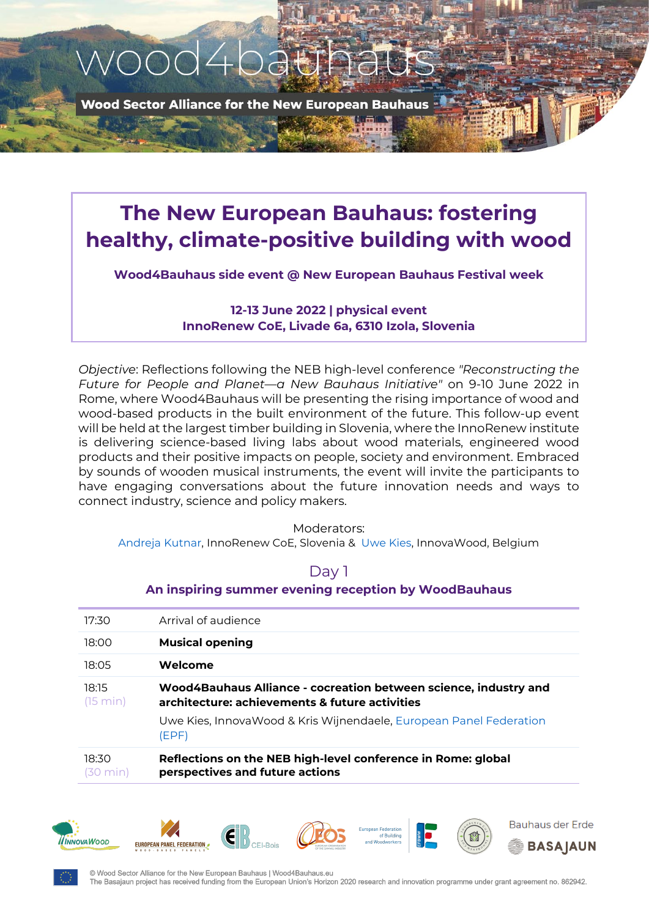

**Wood Sector Alliance for the New European Bauhaus** 

# **The New European Bauhaus: fostering healthy, climate-positive building with wood**

**Wood4Bauhaus side event @ New European Bauhaus Festival week**

### **12-13 June 2022 | physical event InnoRenew CoE, Livade 6a, 6310 Izola, Slovenia**

*Objective*: Reflections following the NEB high-level conference *"Reconstructing the Future for People and Planet—a New Bauhaus Initiative"* on 9-10 June 2022 in Rome, where Wood4Bauhaus will be presenting the rising importance of wood and wood-based products in the built environment of the future. This follow-up event will be held at the largest timber building in Slovenia, where the InnoRenew institute is delivering science-based living labs about wood materials, engineered wood products and their positive impacts on people, society and environment. Embraced by sounds of wooden musical instruments, the event will invite the participants to have engaging conversations about the future innovation needs and ways to connect industry, science and policy makers.

#### Moderators:

[Andreja Kutnar,](https://innorenew.eu/employee/andreja-kutnar/) InnoRenew CoE, Slovenia & [Uwe Kies,](https://www.linkedin.com/in/uwekies/) InnovaWood, Belgium

# Day 1

#### **An inspiring summer evening reception by WoodBauhaus**

| 17:30             | Arrival of audience                                                                                                |
|-------------------|--------------------------------------------------------------------------------------------------------------------|
| 18:00             | <b>Musical opening</b>                                                                                             |
|                   |                                                                                                                    |
| 18:05             | Welcome                                                                                                            |
| 18:15<br>(15 min) | Wood4Bauhaus Alliance - cocreation between science, industry and<br>architecture: achievements & future activities |
|                   | Uwe Kies, InnovaWood & Kris Wijnendaele, European Panel Federation<br>(EPF)                                        |
| 18:30<br>min      | Reflections on the NEB high-level conference in Rome: global<br>perspectives and future actions                    |















© Wood Sector Alliance for the New European Bauhaus | Wood4Bauhaus.eu The Basaiaun project has received funding from the European Union's Horizon 2020 research and innovation programme under grant agreement no. 862942.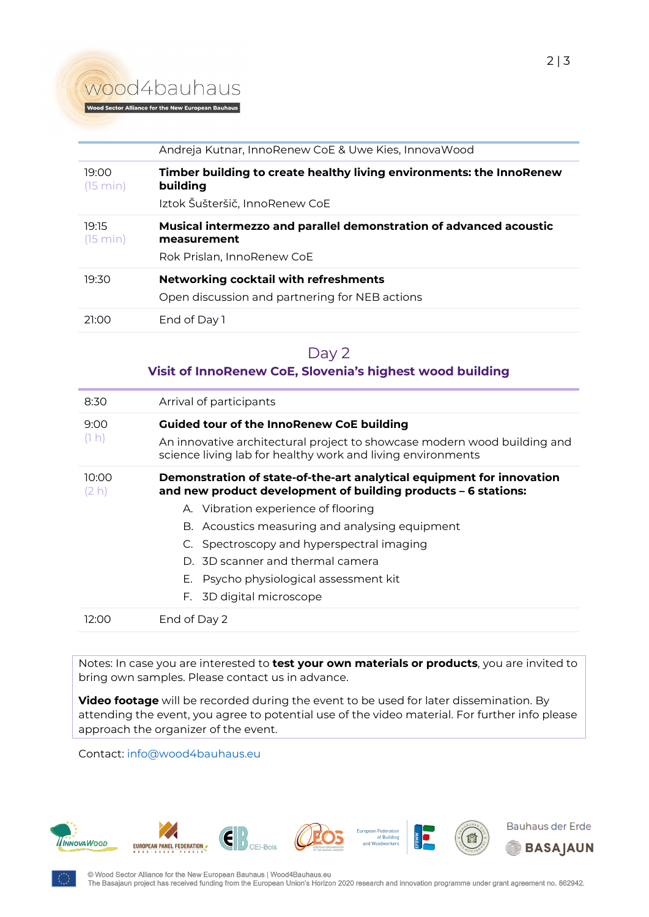# wood4bauhaus

|                   | Andreja Kutnar, InnoRenew CoE & Uwe Kies, Innova Wood                                                              |
|-------------------|--------------------------------------------------------------------------------------------------------------------|
| 19:00<br>(15 min) | Timber building to create healthy living environments: the InnoRenew<br>building<br>Iztok Šušteršič, InnoRenew CoE |
| 19:15<br>(15 min) | Musical intermezzo and parallel demonstration of advanced acoustic<br>measurement<br>Rok Prislan, InnoRenew CoE    |
| 19:30             | <b>Networking cocktail with refreshments</b><br>Open discussion and partnering for NEB actions                     |
| 21:00             | End of Day 1                                                                                                       |

## Day 2

#### **Visit of InnoRenew CoE, Slovenia's highest wood building**

| Arrival of participants<br>8:30<br><b>Guided tour of the InnoRenew CoE building</b><br>9:00<br>(1 h)<br>An innovative architectural project to showcase modern wood building and<br>science living lab for healthy work and living environments<br>Demonstration of state-of-the-art analytical equipment for innovation<br>10:00<br>and new product development of building products - 6 stations:<br>(2 h)<br>A. Vibration experience of flooring<br>B. Acoustics measuring and analysing equipment<br>C. Spectroscopy and hyperspectral imaging<br>D. 3D scanner and thermal camera<br>E. Psycho physiological assessment kit<br>F. 3D digital microscope<br>End of Day 2<br>12:00 |  |
|---------------------------------------------------------------------------------------------------------------------------------------------------------------------------------------------------------------------------------------------------------------------------------------------------------------------------------------------------------------------------------------------------------------------------------------------------------------------------------------------------------------------------------------------------------------------------------------------------------------------------------------------------------------------------------------|--|
|                                                                                                                                                                                                                                                                                                                                                                                                                                                                                                                                                                                                                                                                                       |  |
|                                                                                                                                                                                                                                                                                                                                                                                                                                                                                                                                                                                                                                                                                       |  |
|                                                                                                                                                                                                                                                                                                                                                                                                                                                                                                                                                                                                                                                                                       |  |
|                                                                                                                                                                                                                                                                                                                                                                                                                                                                                                                                                                                                                                                                                       |  |
|                                                                                                                                                                                                                                                                                                                                                                                                                                                                                                                                                                                                                                                                                       |  |

Notes: In case you are interested to **test your own materials or products**, you are invited to bring own samples. Please contact us in advance.

**Video footage** will be recorded during the event to be used for later dissemination. By attending the event, you agree to potential use of the video material. For further info please approach the organizer of the event.

Contact: [info@wood4bauhaus.eu](mailto:info@wood4bauhaus.eu)